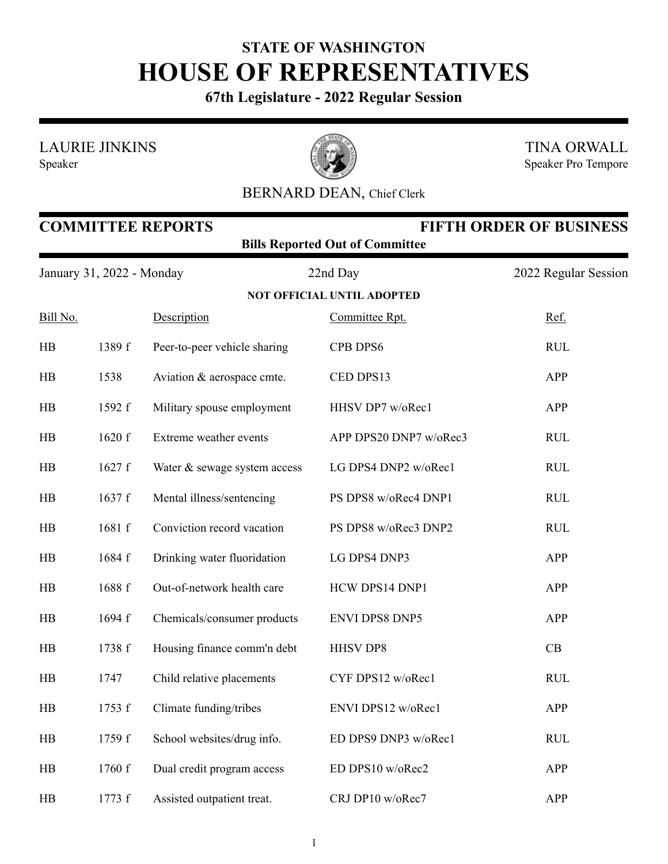## **STATE OF WASHINGTON HOUSE OF REPRESENTATIVES**

**67th Legislature - 2022 Regular Session**

LAURIE JINKINS

Speaker



TINA ORWALL Speaker Pro Tempore

## BERNARD DEAN, Chief Clerk

|                           | <b>COMMITTEE REPORTS</b><br><b>FIFTH ORDER OF BUSINESS</b><br><b>Bills Reported Out of Committee</b> |                              |                        |                      |  |  |  |  |  |
|---------------------------|------------------------------------------------------------------------------------------------------|------------------------------|------------------------|----------------------|--|--|--|--|--|
| January 31, 2022 - Monday |                                                                                                      |                              | 22nd Day               | 2022 Regular Session |  |  |  |  |  |
|                           | <b>NOT OFFICIAL UNTIL ADOPTED</b>                                                                    |                              |                        |                      |  |  |  |  |  |
| Bill No.                  |                                                                                                      | Description                  | Committee Rpt.         | Ref.                 |  |  |  |  |  |
| HB                        | 1389 f                                                                                               | Peer-to-peer vehicle sharing | CPB DPS6               | <b>RUL</b>           |  |  |  |  |  |
| HB                        | 1538                                                                                                 | Aviation & aerospace cmte.   | CED DPS13              | APP                  |  |  |  |  |  |
| HB                        | 1592 f                                                                                               | Military spouse employment   | HHSV DP7 w/oRec1       | APP                  |  |  |  |  |  |
| HB                        | 1620 f                                                                                               | Extreme weather events       | APP DPS20 DNP7 w/oRec3 | <b>RUL</b>           |  |  |  |  |  |
| HB                        | 1627f                                                                                                | Water & sewage system access | LG DPS4 DNP2 w/oRec1   | <b>RUL</b>           |  |  |  |  |  |
| HB                        | 1637 f                                                                                               | Mental illness/sentencing    | PS DPS8 w/oRec4 DNP1   | <b>RUL</b>           |  |  |  |  |  |
| HB                        | 1681 f                                                                                               | Conviction record vacation   | PS DPS8 w/oRec3 DNP2   | <b>RUL</b>           |  |  |  |  |  |
| HB                        | 1684 f                                                                                               | Drinking water fluoridation  | LG DPS4 DNP3           | <b>APP</b>           |  |  |  |  |  |
| HB                        | 1688 f                                                                                               | Out-of-network health care   | HCW DPS14 DNP1         | APP                  |  |  |  |  |  |
| HB                        | 1694 f                                                                                               | Chemicals/consumer products  | <b>ENVI DPS8 DNP5</b>  | APP                  |  |  |  |  |  |
| HB                        | 1738 f                                                                                               | Housing finance comm'n debt  | <b>HHSV DP8</b>        | CB                   |  |  |  |  |  |
| HB                        | 1747                                                                                                 | Child relative placements    | CYF DPS12 w/oRec1      | <b>RUL</b>           |  |  |  |  |  |
| HB                        | 1753 f                                                                                               | Climate funding/tribes       | ENVI DPS12 w/oRec1     | APP                  |  |  |  |  |  |
| HB                        | 1759 f                                                                                               | School websites/drug info.   | ED DPS9 DNP3 w/oRec1   | <b>RUL</b>           |  |  |  |  |  |
| $H\!B$                    | 1760 f                                                                                               | Dual credit program access   | ED DPS10 w/oRec2       | APP                  |  |  |  |  |  |
| HB                        | 1773 f                                                                                               | Assisted outpatient treat.   | CRJ DP10 w/oRec7       | APP                  |  |  |  |  |  |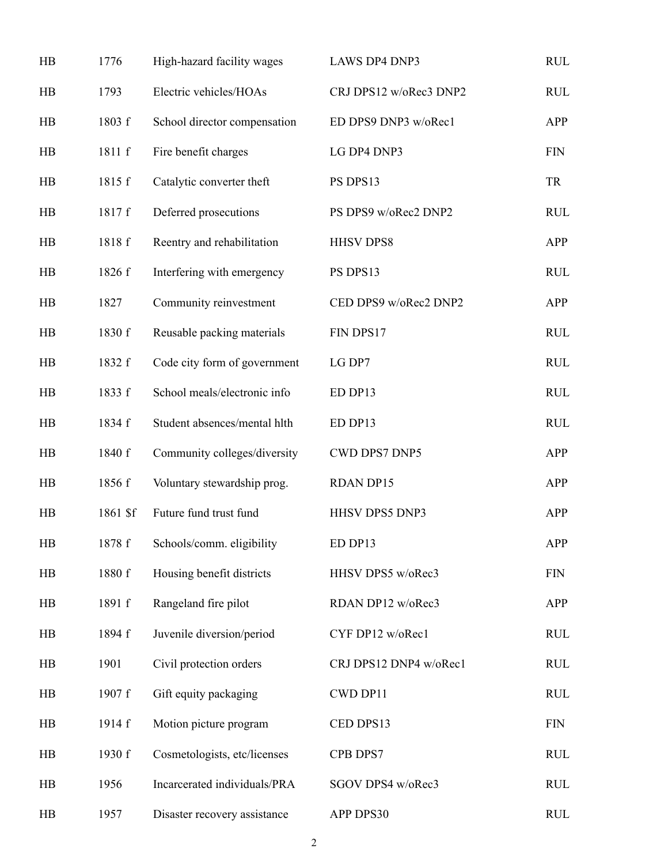| HB             | 1776     | High-hazard facility wages   | LAWS DP4 DNP3          | <b>RUL</b>                  |
|----------------|----------|------------------------------|------------------------|-----------------------------|
| H B            | 1793     | Electric vehicles/HOAs       | CRJ DPS12 w/oRec3 DNP2 | <b>RUL</b>                  |
| HB             | 1803 f   | School director compensation | ED DPS9 DNP3 w/oRec1   | APP                         |
| HB             | 1811 f   | Fire benefit charges         | LG DP4 DNP3            | <b>FIN</b>                  |
| HB             | 1815 f   | Catalytic converter theft    | PS DPS13               | <b>TR</b>                   |
| HB             | 1817 f   | Deferred prosecutions        | PS DPS9 w/oRec2 DNP2   | <b>RUL</b>                  |
| HB             | 1818 f   | Reentry and rehabilitation   | <b>HHSV DPS8</b>       | APP                         |
| HB             | 1826 f   | Interfering with emergency   | PS DPS13               | <b>RUL</b>                  |
| H <sub>B</sub> | 1827     | Community reinvestment       | CED DPS9 w/oRec2 DNP2  | APP                         |
| HB             | 1830 f   | Reusable packing materials   | FIN DPS17              | <b>RUL</b>                  |
| HB             | 1832 f   | Code city form of government | LG DP7                 | <b>RUL</b>                  |
| H <sub>B</sub> | 1833 f   | School meals/electronic info | ED DP13                | <b>RUL</b>                  |
| HB             | 1834 f   | Student absences/mental hlth | ED DP13                | <b>RUL</b>                  |
| HB             | 1840 f   | Community colleges/diversity | CWD DPS7 DNP5          | APP                         |
| HB             | 1856 f   | Voluntary stewardship prog.  | <b>RDAN DP15</b>       | APP                         |
| HB             | 1861 \$f | Future fund trust fund       | HHSV DPS5 DNP3         | APP                         |
| HB             | 1878 f   | Schools/comm. eligibility    | ED DP13                | APP                         |
| HB             | 1880 f   | Housing benefit districts    | HHSV DPS5 w/oRec3      | <b>FIN</b>                  |
| HB             | 1891 f   | Rangeland fire pilot         | RDAN DP12 w/oRec3      | APP                         |
| HB             | 1894 f   | Juvenile diversion/period    | CYF DP12 w/oRec1       | <b>RUL</b>                  |
| HB             | 1901     | Civil protection orders      | CRJ DPS12 DNP4 w/oRec1 | <b>RUL</b>                  |
| H <sub>B</sub> | 1907 f   | Gift equity packaging        | CWD DP11               | <b>RUL</b>                  |
| HB             | 1914 f   | Motion picture program       | CED DPS13              | $\boldsymbol{\mathrm{FIN}}$ |
| H <sub>B</sub> | 1930 f   | Cosmetologists, etc/licenses | CPB DPS7               | <b>RUL</b>                  |
| HB             | 1956     | Incarcerated individuals/PRA | SGOV DPS4 w/oRec3      | <b>RUL</b>                  |
| H <sub>B</sub> | 1957     | Disaster recovery assistance | APP DPS30              | <b>RUL</b>                  |